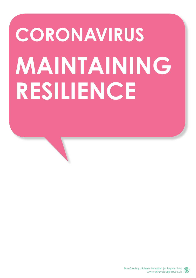# **CORONAVIRUS MAINTAINING RESILIENCE**

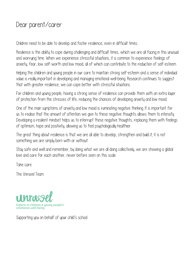## Dear parent/carer

Children need to be able to develop and foster resilience, even in difficult times.

Resilience is the ability to cope during challenging and difficult times, which we are all facing in this unusual and worrying time. When we experience stressful situations, it is common to experience feelings of anxiety, fear, low self-worth and low mood, all of which can contribute to the reduction of self-esteem.

Helping the children and young people in our care to maintain strong self-esteem and a sense of individual value is really important in developing and managing emotional well-being. Research continues to suggest that with greater resilience, we can cope better with stressful situations.

For children and young people, having a strong sense of resilience can provide them with an extra layer of protection from the stresses of life, reducing the chances of developing anxiety and low mood.

One of the main symptoms of anxiety and low mood is ruminating negative thinking. It is important for us to realise that the amount of attention we give to these negative thoughts allows them to intensify. Developing a resilient mindset helps us to interrupt these negative thoughts, replacing them with feelings of optimism, hope and positivity, allowing us to feel psychologically healthier.

The great thing about resilience is that we are all able to develop, strengthen and build it; it is not something we are simply born with or without.

Stay safe and well and remember, by doing what we are all doing collectively, we are showing a global love and care for each another, never before seen on this scale.

Take care

The Unravel Team



Supporting you on behalf of your child's school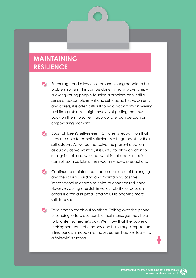#### **MAINTAINING RESILIENCE**

Encourage and allow children and young people to be problem solvers. This can be done in many ways, simply allowing young people to solve a problem can instil a sense of accomplishment and self-capability. As parents and carers, it is often difficult to hold back from answering a child's problem straight away, yet putting the onus back on them to solve, if appropriate, can be such an empowering moment.

Boost children's self-esteem. Children's recognition that  $\bullet$ they are able to be self-sufficient is a huge boost for their self-esteem. As we cannot solve the present situation as quickly as we want to, it is useful to allow children to recognise this and work out what is not and is in their control, such as taking the recommended precautions.

Continue to maintain connections, a sense of belonging and friendships. Building and maintaining positive interpersonal relationships helps to enhance resilience. However, during stressful times, our ability to focus on others is often disrupted, leading us to become more self- focused.

Take time to reach out to others. Talking over the phone or sending letters, postcards or text messages may help to brighten someone's day. We know that the power of making someone else happy also has a huge impact on lifting our own mood and makes us feel happier too – it is a 'win-win' situation.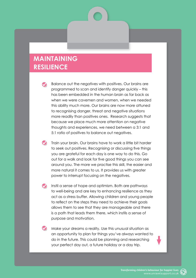#### **MAINTAINING RESILIENCE**

Balance out the negatives with positives. Our brains are programmed to scan and identify danger quickly – this has been embedded in the human brain as far back as when we were cavemen and women, when we needed this ability much more. Our brains are now more attuned to recognising danger, threat and negative situations more readily than positives ones. Research suggests that because we place much more attention on negative thoughts and experiences, we need between a 3:1 and 5:1 ratio of positives to balance out negatives.

**V** Train your brain. Our brains have to work a little bit harder to seek out positives. Recognising or discussing five things you are grateful for each day is one way to do this. Go out for a walk and look for five good things you can see around you. The more we practise this skill, the easier and more natural it comes to us. It provides us with greater power to interrupt focusing on the negatives.

 $\bullet$  Instil a sense of hope and optimism. Both are pathways to well-being and are key to enhancing resilience as they act as a stress buffer. Allowing children and young people to reflect on the steps they need to achieve their goals allows them to see that they are manageable and there is a path that leads them there, which instils a sense of purpose and motivation.

Make your dreams a reality. Use this unusual situation as an opportunity to plan for things you've always wanted to do in the future. This could be planning and researching your perfect day out, a future holiday or a day trip.

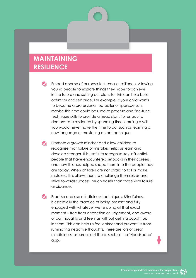#### **MAINTAINING RESILIENCE**

**Constructed and sense of purpose to increase resilience. Allowing** young people to explore things they hope to achieve in the future and setting out plans for this can help build optimism and self pride. For example, if your child wants to become a professional footballer or sportsperson, maybe this time could be used to practise and fine-tune technique skills to provide a head start. For us adults, demonstrate resilience by spending time learning a skill you would never have the time to do, such as learning a new language or mastering an art technique.

Promote a growth mindset and allow children to recognise that failure or mistakes helps us learn and develop stronger. It is useful to recognise key influential people that have encountered setbacks in their careers, and how this has helped shape them into the people they are today. When children are not afraid to fail or make mistakes, this allows them to challenge themselves and strive towards success, much easier than those with failure avoidance.

Practise and use mindfulness techniques. Mindfulness is essentially the practice of being present and fully engaged with whatever we're doing at that exact moment – free from distraction or judgement, and aware of our thoughts and feelings without getting caught up in them. This can help us feel calmer and prevent us from ruminating negative thoughts. There are lots of great mindfulness resources out there, such as the 'Headspace' app.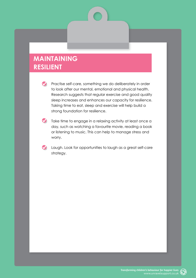### **MAINTAINING RESILIENT**

**Practise self-care, something we do deliberately in order** to look after our mental, emotional and physical health. Research suggests that regular exercise and good quality sleep increases and enhances our capacity for resilience. Taking time to eat, sleep and exercise will help build a strong foundation for resilience.

Take time to engage in a relaxing activity at least once a day, such as watching a favourite movie, reading a book or listening to music. This can help to manage stress and worry.

Laugh. Look for opportunities to laugh as a great self-care strategy.